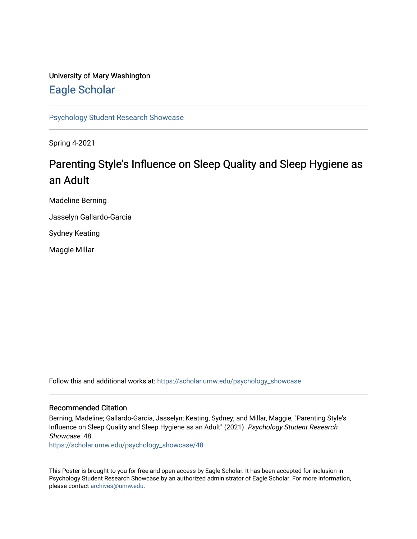#### University of Mary Washington [Eagle Scholar](https://scholar.umw.edu/)

[Psychology Student Research Showcase](https://scholar.umw.edu/psychology_showcase)

Spring 4-2021

#### Parenting Style's Influence on Sleep Quality and Sleep Hygiene as an Adult

Madeline Berning

Jasselyn Gallardo-Garcia

Sydney Keating

Maggie Millar

Follow this and additional works at: [https://scholar.umw.edu/psychology\\_showcase](https://scholar.umw.edu/psychology_showcase?utm_source=scholar.umw.edu%2Fpsychology_showcase%2F48&utm_medium=PDF&utm_campaign=PDFCoverPages)

#### Recommended Citation

Berning, Madeline; Gallardo-Garcia, Jasselyn; Keating, Sydney; and Millar, Maggie, "Parenting Style's Influence on Sleep Quality and Sleep Hygiene as an Adult" (2021). Psychology Student Research Showcase. 48.

[https://scholar.umw.edu/psychology\\_showcase/48](https://scholar.umw.edu/psychology_showcase/48?utm_source=scholar.umw.edu%2Fpsychology_showcase%2F48&utm_medium=PDF&utm_campaign=PDFCoverPages) 

This Poster is brought to you for free and open access by Eagle Scholar. It has been accepted for inclusion in Psychology Student Research Showcase by an authorized administrator of Eagle Scholar. For more information, please contact [archives@umw.edu.](mailto:archives@umw.edu)